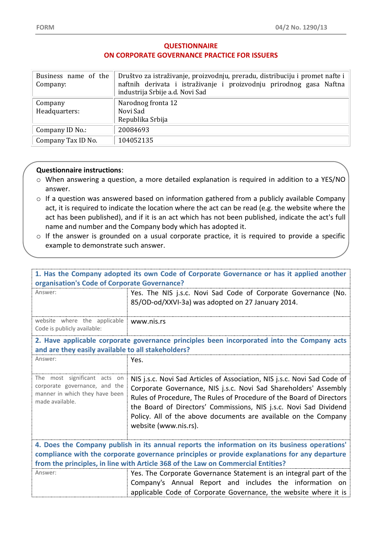## **QUESTIONNAIRE ON CORPORATE GOVERNANCE PRACTICE FOR ISSUERS**

| Business name of the<br>Company: | Društvo za istraživanje, proizvodnju, preradu, distribuciju i promet nafte i<br>naftnih derivata i istraživanje i proizvodnju prirodnog gasa Naftna<br>industrija Srbije a.d. Novi Sad |
|----------------------------------|----------------------------------------------------------------------------------------------------------------------------------------------------------------------------------------|
| Company<br>Headquarters:         | Narodnog fronta 12<br>Novi Sad<br>Republika Srbija                                                                                                                                     |
| Company ID No.:                  | 20084693                                                                                                                                                                               |
| Company Tax ID No.               | 104052135                                                                                                                                                                              |

## **Questionnaire instructions**:

- o When answering a question, a more detailed explanation is required in addition to a YES/NO answer.
- o If a question was answered based on information gathered from a publicly available Company act, it is required to indicate the location where the act can be read (e.g. the website where the act has been published), and if it is an act which has not been published, indicate the act's full name and number and the Company body which has adopted it.
- o If the answer is grounded on a usual corporate practice, it is required to provide a specific example to demonstrate such answer.

| 1. Has the Company adopted its own Code of Corporate Governance or has it applied another<br>organisation's Code of Corporate Governance?                                                      |                                                                                                                                                                                                                                                                                                                                                                                       |  |
|------------------------------------------------------------------------------------------------------------------------------------------------------------------------------------------------|---------------------------------------------------------------------------------------------------------------------------------------------------------------------------------------------------------------------------------------------------------------------------------------------------------------------------------------------------------------------------------------|--|
| Answer:                                                                                                                                                                                        | Yes. The NIS j.s.c. Novi Sad Code of Corporate Governance (No.<br>85/OD-od/XXVI-3a) was adopted on 27 January 2014.                                                                                                                                                                                                                                                                   |  |
| website where the applicable www.nis.rs<br>Code is publicly available:                                                                                                                         |                                                                                                                                                                                                                                                                                                                                                                                       |  |
| 2. Have applicable corporate governance principles been incorporated into the Company acts<br>and are they easily available to all stakeholders?                                               |                                                                                                                                                                                                                                                                                                                                                                                       |  |
| Answer:                                                                                                                                                                                        | Yes.                                                                                                                                                                                                                                                                                                                                                                                  |  |
| The most significant acts on<br>corporate governance, and the<br>manner in which they have been<br>made available.                                                                             | NIS j.s.c. Novi Sad Articles of Association, NIS j.s.c. Novi Sad Code of<br>Corporate Governance, NIS j.s.c. Novi Sad Shareholders' Assembly<br>Rules of Procedure, The Rules of Procedure of the Board of Directors<br>the Board of Directors' Commissions, NIS j.s.c. Novi Sad Dividend<br>Policy. All of the above documents are available on the Company<br>website (www.nis.rs). |  |
| 4. Does the Company publish in its annual reports the information on its business operations'<br>compliance with the corporate governance principles or provide explanations for any departure |                                                                                                                                                                                                                                                                                                                                                                                       |  |
| Answer:                                                                                                                                                                                        | from the principles, in line with Article 368 of the Law on Commercial Entities?<br>Yes. The Corporate Governance Statement is an integral part of the<br>Company's Annual Report and includes the information on<br>applicable Code of Corporate Governance, the website where it is                                                                                                 |  |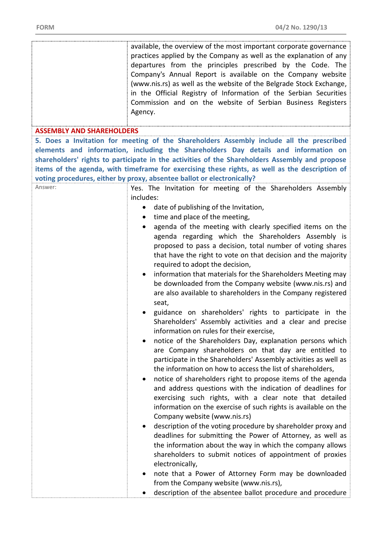## **ASSEMBLY AND SHAREHOLDERS**

**5. Does a Invitation for meeting of the Shareholders Assembly include all the prescribed elements and information, including the Shareholders Day details and information on shareholders' rights to participate in the activities of the Shareholders Assembly and propose items of the agenda, with timeframe for exercising these rights, as well as the description of voting procedures, either by proxy, absentee ballot or electronically?** 

| Answer: | Yes. The Invitation for meeting of the Shareholders Assembly                                                                                                                                                                                                                                        |
|---------|-----------------------------------------------------------------------------------------------------------------------------------------------------------------------------------------------------------------------------------------------------------------------------------------------------|
|         | includes:                                                                                                                                                                                                                                                                                           |
|         | date of publishing of the Invitation,<br>$\bullet$                                                                                                                                                                                                                                                  |
|         | time and place of the meeting,<br>$\bullet$                                                                                                                                                                                                                                                         |
|         | agenda of the meeting with clearly specified items on the<br>agenda regarding which the Shareholders Assembly is<br>proposed to pass a decision, total number of voting shares<br>that have the right to vote on that decision and the majority<br>required to adopt the decision,                  |
|         | information that materials for the Shareholders Meeting may<br>$\bullet$                                                                                                                                                                                                                            |
|         | be downloaded from the Company website (www.nis.rs) and<br>are also available to shareholders in the Company registered<br>seat,                                                                                                                                                                    |
|         | guidance on shareholders' rights to participate in the                                                                                                                                                                                                                                              |
|         | Shareholders' Assembly activities and a clear and precise<br>information on rules for their exercise,                                                                                                                                                                                               |
|         | notice of the Shareholders Day, explanation persons which<br>$\bullet$<br>are Company shareholders on that day are entitled to<br>participate in the Shareholders' Assembly activities as well as<br>the information on how to access the list of shareholders,                                     |
|         | notice of shareholders right to propose items of the agenda<br>$\bullet$<br>and address questions with the indication of deadlines for<br>exercising such rights, with a clear note that detailed<br>information on the exercise of such rights is available on the<br>Company website (www.nis.rs) |
|         | description of the voting procedure by shareholder proxy and<br>deadlines for submitting the Power of Attorney, as well as<br>the information about the way in which the company allows<br>shareholders to submit notices of appointment of proxies<br>electronically,                              |
|         | note that a Power of Attorney Form may be downloaded                                                                                                                                                                                                                                                |
|         | from the Company website (www.nis.rs),                                                                                                                                                                                                                                                              |
|         | description of the absentee ballot procedure and procedure                                                                                                                                                                                                                                          |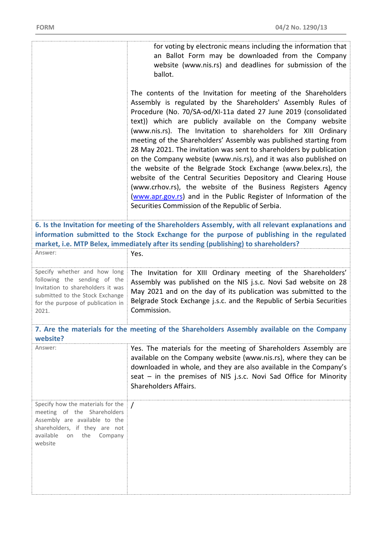for voting by electronic means including the information that an Ballot Form may be downloaded from the Company website (www.nis.rs) and deadlines for submission of the ballot.

The contents of the Invitation for meeting of the Shareholders Assembly is regulated by the Shareholders' Assembly Rules of Procedure (No. 70/SA-od/XI-11а dated 27 June 2019 (consolidated text)) which are publicly available on the Company website (www.nis.rs). The Invitation to shareholders for XIII Ordinary meeting of the Shareholders' Assembly was published starting from 28 May 2021. The invitation was sent to shareholders by publication on the Company website (www.nis.rs), and it was also published on the website of the Belgrade Stock Exchange (www.belex.rs), the website of the Central Securities Depository and Clearing House (www.crhov.rs), the website of the Business Registers Agency [\(www.apr.gov.rs\)](http://www.apr.gov.rs/) and in the Public Register of Information of the Securities Commission of the Republic of Serbia.

**6. Is the Invitation for meeting of the Shareholders Assembly, with all relevant explanations and information submitted to the Stock Exchange for the purpose of publishing in the regulated market, i.e. MTP Belex, immediately after its sending (publishing) to shareholders?** 

| Answer:                           | Yes.                                                                                       |
|-----------------------------------|--------------------------------------------------------------------------------------------|
| following the sending of the      | Specify whether and how long The Invitation for XIII Ordinary meeting of the Shareholders' |
| Invitation to shareholders it was | Assembly was published on the NIS j.s.c. Novi Sad website on 28                            |
| submitted to the Stock Exchange   | May 2021 and on the day of its publication was submitted to the                            |
| for the purpose of publication in | Belgrade Stock Exchange j.s.c. and the Republic of Serbia Securities                       |
| 2021.                             | Commission.                                                                                |

**7. Are the materials for the meeting of the Shareholders Assembly available on the Company website?** 

| Answer:                                                                                                                                                                   | Yes. The materials for the meeting of Shareholders Assembly are<br>available on the Company website (www.nis.rs), where they can be<br>downloaded in whole, and they are also available in the Company's<br>seat $-$ in the premises of NIS j.s.c. Novi Sad Office for Minority<br>Shareholders Affairs. |
|---------------------------------------------------------------------------------------------------------------------------------------------------------------------------|----------------------------------------------------------------------------------------------------------------------------------------------------------------------------------------------------------------------------------------------------------------------------------------------------------|
| Specify how the materials for the<br>meeting of the Shareholders<br>Assembly are available to the<br>shareholders, if they are not<br>available on the Company<br>website |                                                                                                                                                                                                                                                                                                          |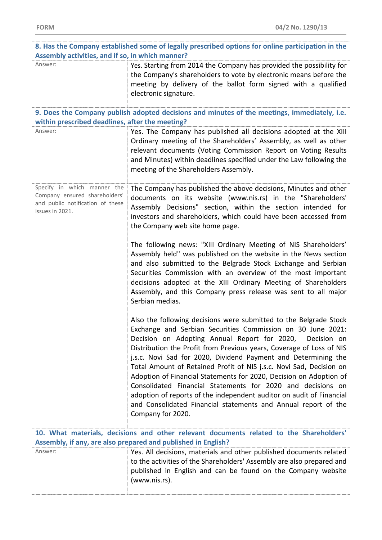| 200      |  |  |
|----------|--|--|
|          |  |  |
| ٧<br>. . |  |  |

| 8. Has the Company established some of legally prescribed options for online participation in the<br>Assembly activities, and if so, in which manner?    |                                                                                                                                                                                                                                                                                                                                                                                                                                                                                                                                                                                                                                                                                                                   |  |
|----------------------------------------------------------------------------------------------------------------------------------------------------------|-------------------------------------------------------------------------------------------------------------------------------------------------------------------------------------------------------------------------------------------------------------------------------------------------------------------------------------------------------------------------------------------------------------------------------------------------------------------------------------------------------------------------------------------------------------------------------------------------------------------------------------------------------------------------------------------------------------------|--|
| Answer:                                                                                                                                                  | Yes. Starting from 2014 the Company has provided the possibility for<br>the Company's shareholders to vote by electronic means before the<br>meeting by delivery of the ballot form signed with a qualified<br>electronic signature.                                                                                                                                                                                                                                                                                                                                                                                                                                                                              |  |
| within prescribed deadlines, after the meeting?                                                                                                          | 9. Does the Company publish adopted decisions and minutes of the meetings, immediately, i.e.                                                                                                                                                                                                                                                                                                                                                                                                                                                                                                                                                                                                                      |  |
| Answer:                                                                                                                                                  | Yes. The Company has published all decisions adopted at the XIII<br>Ordinary meeting of the Shareholders' Assembly, as well as other<br>relevant documents (Voting Commission Report on Voting Results<br>and Minutes) within deadlines specified under the Law following the<br>meeting of the Shareholders Assembly.                                                                                                                                                                                                                                                                                                                                                                                            |  |
| Specify in which manner the<br>Company ensured shareholders'<br>and public notification of these<br>issues in 2021.                                      | The Company has published the above decisions, Minutes and other<br>documents on its website (www.nis.rs) in the "Shareholders'<br>Assembly Decisions" section, within the section intended for<br>investors and shareholders, which could have been accessed from<br>the Company web site home page.                                                                                                                                                                                                                                                                                                                                                                                                             |  |
|                                                                                                                                                          | The following news: "XIII Ordinary Meeting of NIS Shareholders'<br>Assembly held" was published on the website in the News section<br>and also submitted to the Belgrade Stock Exchange and Serbian<br>Securities Commission with an overview of the most important<br>decisions adopted at the XIII Ordinary Meeting of Shareholders<br>Assembly, and this Company press release was sent to all major<br>Serbian medias.                                                                                                                                                                                                                                                                                        |  |
|                                                                                                                                                          | Also the following decisions were submitted to the Belgrade Stock<br>Exchange and Serbian Securities Commission on 30 June 2021:<br>Decision on Adopting Annual Report for 2020, Decision on<br>Distribution the Profit from Previous years, Coverage of Loss of NIS<br>j.s.c. Novi Sad for 2020, Dividend Payment and Determining the<br>Total Amount of Retained Profit of NIS j.s.c. Novi Sad, Decision on<br>Adoption of Financial Statements for 2020, Decision on Adoption of<br>Consolidated Financial Statements for 2020 and decisions on<br>adoption of reports of the independent auditor on audit of Financial<br>and Consolidated Financial statements and Annual report of the<br>Company for 2020. |  |
| 10. What materials, decisions and other relevant documents related to the Shareholders'<br>Assembly, if any, are also prepared and published in English? |                                                                                                                                                                                                                                                                                                                                                                                                                                                                                                                                                                                                                                                                                                                   |  |
| Answer:                                                                                                                                                  | Yes. All decisions, materials and other published documents related<br>to the activities of the Shareholders' Assembly are also prepared and<br>published in English and can be found on the Company website<br>(www.nis.rs).                                                                                                                                                                                                                                                                                                                                                                                                                                                                                     |  |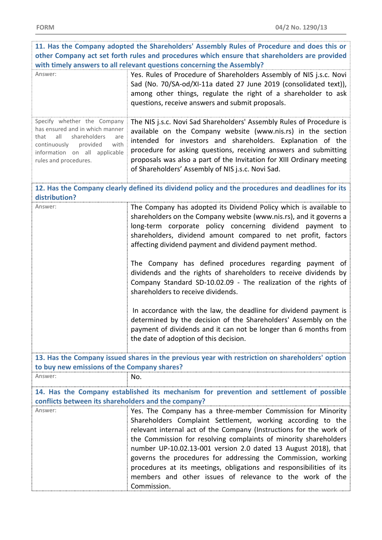| 11. Has the Company adopted the Shareholders' Assembly Rules of Procedure and does this or                                                                                                         |                                                                                                                                                                                                                                                                                                                                                                                                                                                                                                                                                                                                                                              |  |
|----------------------------------------------------------------------------------------------------------------------------------------------------------------------------------------------------|----------------------------------------------------------------------------------------------------------------------------------------------------------------------------------------------------------------------------------------------------------------------------------------------------------------------------------------------------------------------------------------------------------------------------------------------------------------------------------------------------------------------------------------------------------------------------------------------------------------------------------------------|--|
| other Company act set forth rules and procedures which ensure that shareholders are provided                                                                                                       |                                                                                                                                                                                                                                                                                                                                                                                                                                                                                                                                                                                                                                              |  |
|                                                                                                                                                                                                    | with timely answers to all relevant questions concerning the Assembly?                                                                                                                                                                                                                                                                                                                                                                                                                                                                                                                                                                       |  |
| Answer:                                                                                                                                                                                            | Yes. Rules of Procedure of Shareholders Assembly of NIS j.s.c. Novi<br>Sad (No. 70/SA-od/XI-11a dated 27 June 2019 (consolidated text)),<br>among other things, regulate the right of a shareholder to ask<br>questions, receive answers and submit proposals.                                                                                                                                                                                                                                                                                                                                                                               |  |
| Specify whether the Company<br>has ensured and in which manner<br>all<br>shareholders<br>that<br>are<br>provided<br>with<br>continuously<br>information on all applicable<br>rules and procedures. | The NIS j.s.c. Novi Sad Shareholders' Assembly Rules of Procedure is<br>available on the Company website (www.nis.rs) in the section<br>intended for investors and shareholders. Explanation of the<br>procedure for asking questions, receiving answers and submitting<br>proposals was also a part of the Invitation for XIII Ordinary meeting<br>of Shareholders' Assembly of NIS j.s.c. Novi Sad.                                                                                                                                                                                                                                        |  |
| distribution?                                                                                                                                                                                      | 12. Has the Company clearly defined its dividend policy and the procedures and deadlines for its                                                                                                                                                                                                                                                                                                                                                                                                                                                                                                                                             |  |
| Answer:                                                                                                                                                                                            | The Company has adopted its Dividend Policy which is available to<br>shareholders on the Company website (www.nis.rs), and it governs a<br>long-term corporate policy concerning dividend payment to<br>shareholders, dividend amount compared to net profit, factors<br>affecting dividend payment and dividend payment method.<br>The Company has defined procedures regarding payment of<br>dividends and the rights of shareholders to receive dividends by<br>Company Standard SD-10.02.09 - The realization of the rights of<br>shareholders to receive dividends.<br>In accordance with the law, the deadline for dividend payment is |  |
|                                                                                                                                                                                                    | determined by the decision of the Shareholders' Assembly on the<br>payment of dividends and it can not be longer than 6 months from<br>the date of adoption of this decision.                                                                                                                                                                                                                                                                                                                                                                                                                                                                |  |
| to buy new emissions of the Company shares?                                                                                                                                                        | 13. Has the Company issued shares in the previous year with restriction on shareholders' option                                                                                                                                                                                                                                                                                                                                                                                                                                                                                                                                              |  |
| Answer:                                                                                                                                                                                            | No.                                                                                                                                                                                                                                                                                                                                                                                                                                                                                                                                                                                                                                          |  |
|                                                                                                                                                                                                    | 14. Has the Company established its mechanism for prevention and settlement of possible                                                                                                                                                                                                                                                                                                                                                                                                                                                                                                                                                      |  |
| conflicts between its shareholders and the company?                                                                                                                                                |                                                                                                                                                                                                                                                                                                                                                                                                                                                                                                                                                                                                                                              |  |
| Answer:                                                                                                                                                                                            | Yes. The Company has a three-member Commission for Minority<br>Shareholders Complaint Settlement, working according to the<br>relevant internal act of the Company (Instructions for the work of<br>the Commission for resolving complaints of minority shareholders<br>number UP-10.02.13-001 version 2.0 dated 13 August 2018), that<br>governs the procedures for addressing the Commission, working<br>procedures at its meetings, obligations and responsibilities of its<br>members and other issues of relevance to the work of the<br>Commission.                                                                                    |  |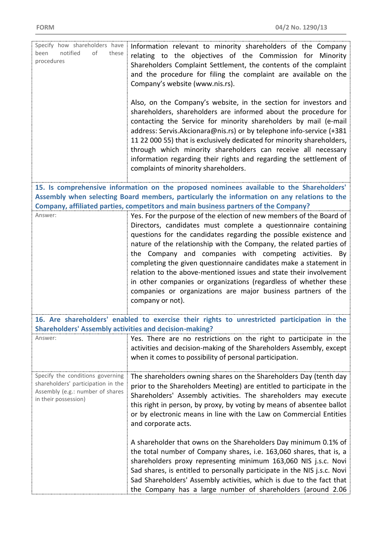| Specify how shareholders have<br>notified<br>οf<br>been<br>these<br>procedures                                                     | Information relevant to minority shareholders of the Company<br>relating to the objectives of the Commission for Minority<br>Shareholders Complaint Settlement, the contents of the complaint<br>and the procedure for filing the complaint are available on the<br>Company's website (www.nis.rs).<br>Also, on the Company's website, in the section for investors and<br>shareholders, shareholders are informed about the procedure for<br>contacting the Service for minority shareholders by mail (e-mail<br>address: Servis.Akcionara@nis.rs) or by telephone info-service (+381<br>11 22 000 55) that is exclusively dedicated for minority shareholders,<br>through which minority shareholders can receive all necessary<br>information regarding their rights and regarding the settlement of<br>complaints of minority shareholders. |
|------------------------------------------------------------------------------------------------------------------------------------|-------------------------------------------------------------------------------------------------------------------------------------------------------------------------------------------------------------------------------------------------------------------------------------------------------------------------------------------------------------------------------------------------------------------------------------------------------------------------------------------------------------------------------------------------------------------------------------------------------------------------------------------------------------------------------------------------------------------------------------------------------------------------------------------------------------------------------------------------|
|                                                                                                                                    |                                                                                                                                                                                                                                                                                                                                                                                                                                                                                                                                                                                                                                                                                                                                                                                                                                                 |
|                                                                                                                                    | 15. Is comprehensive information on the proposed nominees available to the Shareholders'                                                                                                                                                                                                                                                                                                                                                                                                                                                                                                                                                                                                                                                                                                                                                        |
|                                                                                                                                    | Assembly when selecting Board members, particularly the information on any relations to the                                                                                                                                                                                                                                                                                                                                                                                                                                                                                                                                                                                                                                                                                                                                                     |
|                                                                                                                                    | Company, affiliated parties, competitors and main business partners of the Company?                                                                                                                                                                                                                                                                                                                                                                                                                                                                                                                                                                                                                                                                                                                                                             |
| Answer:                                                                                                                            | Yes. For the purpose of the election of new members of the Board of<br>Directors, candidates must complete a questionnaire containing<br>questions for the candidates regarding the possible existence and<br>nature of the relationship with the Company, the related parties of<br>the Company and companies with competing activities. By<br>completing the given questionnaire candidates make a statement in<br>relation to the above-mentioned issues and state their involvement<br>in other companies or organizations (regardless of whether these<br>companies or organizations are major business partners of the<br>company or not).                                                                                                                                                                                                |
|                                                                                                                                    | 16. Are shareholders' enabled to exercise their rights to unrestricted participation in the                                                                                                                                                                                                                                                                                                                                                                                                                                                                                                                                                                                                                                                                                                                                                     |
| <b>Shareholders' Assembly activities and decision-making?</b>                                                                      |                                                                                                                                                                                                                                                                                                                                                                                                                                                                                                                                                                                                                                                                                                                                                                                                                                                 |
| Answer:                                                                                                                            | Yes. There are no restrictions on the right to participate in the<br>activities and decision-making of the Shareholders Assembly, except<br>when it comes to possibility of personal participation.                                                                                                                                                                                                                                                                                                                                                                                                                                                                                                                                                                                                                                             |
| Specify the conditions governing<br>shareholders' participation in the<br>Assembly (e.g.: number of shares<br>in their possession) | The shareholders owning shares on the Shareholders Day (tenth day<br>prior to the Shareholders Meeting) are entitled to participate in the<br>Shareholders' Assembly activities. The shareholders may execute<br>this right in person, by proxy, by voting by means of absentee ballot<br>or by electronic means in line with the Law on Commercial Entities<br>and corporate acts.<br>A shareholder that owns on the Shareholders Day minimum 0.1% of<br>the total number of Company shares, i.e. 163,060 shares, that is, a<br>shareholders proxy representing minimum 163,060 NIS j.s.c. Novi<br>Sad shares, is entitled to personally participate in the NIS j.s.c. Novi<br>Sad Shareholders' Assembly activities, which is due to the fact that<br>the Company has a large number of shareholders (around 2.06                             |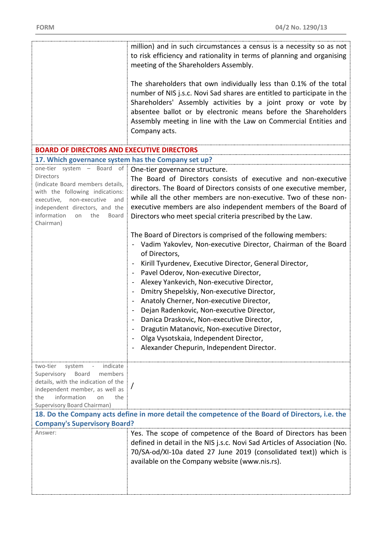|                                                                                                                                                                                                                                              | million) and in such circumstances a census is a necessity so as not<br>to risk efficiency and rationality in terms of planning and organising<br>meeting of the Shareholders Assembly.                                                                                                                                                                                                                                                                                                                                                                                                                                                                                      |
|----------------------------------------------------------------------------------------------------------------------------------------------------------------------------------------------------------------------------------------------|------------------------------------------------------------------------------------------------------------------------------------------------------------------------------------------------------------------------------------------------------------------------------------------------------------------------------------------------------------------------------------------------------------------------------------------------------------------------------------------------------------------------------------------------------------------------------------------------------------------------------------------------------------------------------|
|                                                                                                                                                                                                                                              | The shareholders that own individually less than 0.1% of the total<br>number of NIS j.s.c. Novi Sad shares are entitled to participate in the<br>Shareholders' Assembly activities by a joint proxy or vote by<br>absentee ballot or by electronic means before the Shareholders<br>Assembly meeting in line with the Law on Commercial Entities and<br>Company acts.                                                                                                                                                                                                                                                                                                        |
| <b>BOARD OF DIRECTORS AND EXECUTIVE DIRECTORS</b>                                                                                                                                                                                            |                                                                                                                                                                                                                                                                                                                                                                                                                                                                                                                                                                                                                                                                              |
| 17. Which governance system has the Company set up?                                                                                                                                                                                          |                                                                                                                                                                                                                                                                                                                                                                                                                                                                                                                                                                                                                                                                              |
| one-tier system - Board of<br><b>Directors</b><br>(indicate Board members details,<br>with the following indications:<br>executive, non-executive<br>and<br>independent directors, and the<br>information<br>the<br>on<br>Board<br>Chairman) | One-tier governance structure.<br>The Board of Directors consists of executive and non-executive<br>directors. The Board of Directors consists of one executive member,<br>while all the other members are non-executive. Two of these non-<br>executive members are also independent members of the Board of<br>Directors who meet special criteria prescribed by the Law.                                                                                                                                                                                                                                                                                                  |
|                                                                                                                                                                                                                                              | The Board of Directors is comprised of the following members:<br>Vadim Yakovlev, Non-executive Director, Chairman of the Board<br>of Directors,<br>Kirill Tyurdenev, Executive Director, General Director,<br>Pavel Oderov, Non-executive Director,<br>$\blacksquare$<br>Alexey Yankevich, Non-executive Director,<br>Dmitry Shepelskiy, Non-executive Director,<br>Anatoly Cherner, Non-executive Director,<br>$\qquad \qquad \blacksquare$<br>Dejan Radenkovic, Non-executive Director,<br>Danica Draskovic, Non-executive Director,<br>Dragutin Matanovic, Non-executive Director,<br>Olga Vysotskaia, Independent Director,<br>Alexander Chepurin, Independent Director. |
| indicate<br>two-tier<br>system<br>Supervisory<br>Board<br>members<br>details, with the indication of the<br>independent member, as well as<br>information<br>the<br>on<br>the<br>Supervisory Board Chairman)                                 |                                                                                                                                                                                                                                                                                                                                                                                                                                                                                                                                                                                                                                                                              |
|                                                                                                                                                                                                                                              | 18. Do the Company acts define in more detail the competence of the Board of Directors, i.e. the                                                                                                                                                                                                                                                                                                                                                                                                                                                                                                                                                                             |
| <b>Company's Supervisory Board?</b>                                                                                                                                                                                                          |                                                                                                                                                                                                                                                                                                                                                                                                                                                                                                                                                                                                                                                                              |
| Answer:                                                                                                                                                                                                                                      | Yes. The scope of competence of the Board of Directors has been<br>defined in detail in the NIS j.s.c. Novi Sad Articles of Association (No.<br>70/SA-od/XI-10a dated 27 June 2019 (consolidated text)) which is<br>available on the Company website (www.nis.rs).                                                                                                                                                                                                                                                                                                                                                                                                           |
|                                                                                                                                                                                                                                              |                                                                                                                                                                                                                                                                                                                                                                                                                                                                                                                                                                                                                                                                              |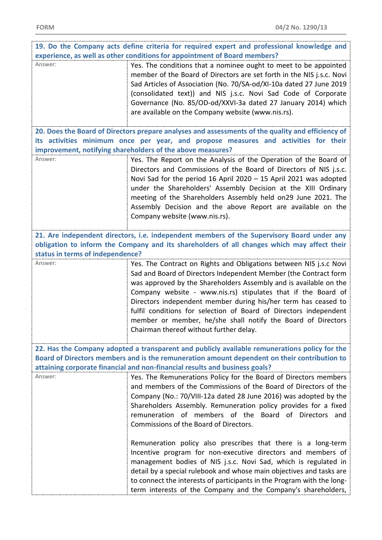| 19. Do the Company acts define criteria for required expert and professional knowledge and   |                                                                                                         |  |
|----------------------------------------------------------------------------------------------|---------------------------------------------------------------------------------------------------------|--|
|                                                                                              | experience, as well as other conditions for appointment of Board members?                               |  |
| Answer:                                                                                      | Yes. The conditions that a nominee ought to meet to be appointed                                        |  |
|                                                                                              | member of the Board of Directors are set forth in the NIS j.s.c. Novi                                   |  |
|                                                                                              | Sad Articles of Association (No. 70/SA-od/XI-10a dated 27 June 2019                                     |  |
|                                                                                              | (consolidated text)) and NIS j.s.c. Novi Sad Code of Corporate                                          |  |
|                                                                                              | Governance (No. 85/OD-od/XXVI-3a dated 27 January 2014) which                                           |  |
|                                                                                              | are available on the Company website (www.nis.rs).                                                      |  |
|                                                                                              | 20. Does the Board of Directors prepare analyses and assessments of the quality and efficiency of       |  |
|                                                                                              | its activities minimum once per year, and propose measures and activities for their                     |  |
|                                                                                              | improvement, notifying shareholders of the above measures?                                              |  |
| Answer:                                                                                      | Yes. The Report on the Analysis of the Operation of the Board of                                        |  |
|                                                                                              | Directors and Commissions of the Board of Directors of NIS j.s.c.                                       |  |
|                                                                                              | Novi Sad for the period 16 April 2020 - 15 April 2021 was adopted                                       |  |
|                                                                                              | under the Shareholders' Assembly Decision at the XIII Ordinary                                          |  |
|                                                                                              | meeting of the Shareholders Assembly held on29 June 2021. The                                           |  |
|                                                                                              | Assembly Decision and the above Report are available on the                                             |  |
|                                                                                              | Company website (www.nis.rs).                                                                           |  |
|                                                                                              | 21. Are independent directors, i.e. independent members of the Supervisory Board under any              |  |
|                                                                                              | obligation to inform the Company and its shareholders of all changes which may affect their             |  |
| status in terms of independence?                                                             |                                                                                                         |  |
| Answer:                                                                                      | Yes. The Contract on Rights and Obligations between NIS j.s.c Novi                                      |  |
|                                                                                              | Sad and Board of Directors Independent Member (the Contract form                                        |  |
|                                                                                              | was approved by the Shareholders Assembly and is available on the                                       |  |
|                                                                                              | Company website - www.nis.rs) stipulates that if the Board of                                           |  |
|                                                                                              | Directors independent member during his/her term has ceased to                                          |  |
|                                                                                              | fulfil conditions for selection of Board of Directors independent                                       |  |
|                                                                                              | member or member, he/she shall notify the Board of Directors<br>Chairman thereof without further delay. |  |
|                                                                                              |                                                                                                         |  |
|                                                                                              | 22. Has the Company adopted a transparent and publicly available remunerations policy for the           |  |
| Board of Directors members and is the remuneration amount dependent on their contribution to |                                                                                                         |  |
| attaining corporate financial and non-financial results and business goals?                  |                                                                                                         |  |
| Answer:                                                                                      | Yes. The Remunerations Policy for the Board of Directors members                                        |  |
|                                                                                              | and members of the Commissions of the Board of Directors of the                                         |  |
|                                                                                              | Company (No.: 70/VIII-12a dated 28 June 2016) was adopted by the                                        |  |
|                                                                                              | Shareholders Assembly. Remuneration policy provides for a fixed                                         |  |
|                                                                                              | remuneration of members of the Board of Directors and                                                   |  |
|                                                                                              | Commissions of the Board of Directors.                                                                  |  |
|                                                                                              | Remuneration policy also prescribes that there is a long-term                                           |  |
|                                                                                              | Incentive program for non-executive directors and members of                                            |  |
|                                                                                              | management bodies of NIS j.s.c. Novi Sad, which is regulated in                                         |  |
|                                                                                              | detail by a special rulebook and whose main objectives and tasks are                                    |  |
|                                                                                              | to connect the interests of participants in the Program with the long-                                  |  |
|                                                                                              | term interests of the Company and the Company's shareholders,                                           |  |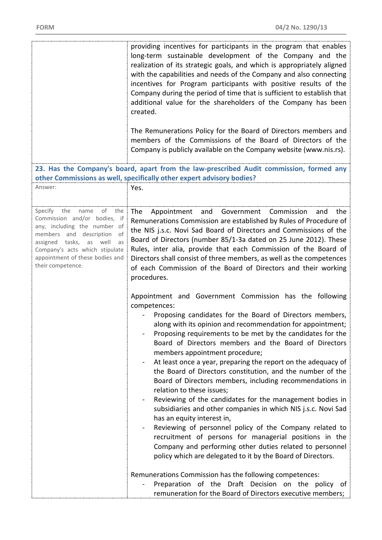|                                                                                                                                                                                                                                                                          | providing incentives for participants in the program that enables<br>long-term sustainable development of the Company and the<br>realization of its strategic goals, and which is appropriately aligned<br>with the capabilities and needs of the Company and also connecting<br>incentives for Program participants with positive results of the<br>Company during the period of time that is sufficient to establish that<br>additional value for the shareholders of the Company has been<br>created.<br>The Remunerations Policy for the Board of Directors members and<br>members of the Commissions of the Board of Directors of the<br>Company is publicly available on the Company website (www.nis.rs).                                                                                                                                                                                                                                                                                                                                                                                                                                                                                                                                                                                                                                                                                                                                                                                                                                                                            |
|--------------------------------------------------------------------------------------------------------------------------------------------------------------------------------------------------------------------------------------------------------------------------|---------------------------------------------------------------------------------------------------------------------------------------------------------------------------------------------------------------------------------------------------------------------------------------------------------------------------------------------------------------------------------------------------------------------------------------------------------------------------------------------------------------------------------------------------------------------------------------------------------------------------------------------------------------------------------------------------------------------------------------------------------------------------------------------------------------------------------------------------------------------------------------------------------------------------------------------------------------------------------------------------------------------------------------------------------------------------------------------------------------------------------------------------------------------------------------------------------------------------------------------------------------------------------------------------------------------------------------------------------------------------------------------------------------------------------------------------------------------------------------------------------------------------------------------------------------------------------------------|
|                                                                                                                                                                                                                                                                          | 23. Has the Company's board, apart from the law-prescribed Audit commission, formed any<br>other Commissions as well, specifically other expert advisory bodies?                                                                                                                                                                                                                                                                                                                                                                                                                                                                                                                                                                                                                                                                                                                                                                                                                                                                                                                                                                                                                                                                                                                                                                                                                                                                                                                                                                                                                            |
| Answer:                                                                                                                                                                                                                                                                  | Yes.                                                                                                                                                                                                                                                                                                                                                                                                                                                                                                                                                                                                                                                                                                                                                                                                                                                                                                                                                                                                                                                                                                                                                                                                                                                                                                                                                                                                                                                                                                                                                                                        |
| the<br>the<br>Specify<br>name<br>of<br>Commission and/or bodies, if<br>any, including the number of<br>members and description<br>of<br>tasks,<br>assigned<br>as<br>well<br>as<br>Company's acts which stipulate<br>appointment of these bodies and<br>their competence. | Commission<br>the<br>The<br>Appointment<br>and<br>Government<br>and<br>Remunerations Commission are established by Rules of Procedure of<br>the NIS j.s.c. Novi Sad Board of Directors and Commissions of the<br>Board of Directors (number 85/1-3a dated on 25 June 2012). These<br>Rules, inter alia, provide that each Commission of the Board of<br>Directors shall consist of three members, as well as the competences<br>of each Commission of the Board of Directors and their working<br>procedures.<br>Appointment and Government Commission has the following<br>competences:<br>Proposing candidates for the Board of Directors members,<br>along with its opinion and recommendation for appointment;<br>Proposing requirements to be met by the candidates for the<br>Board of Directors members and the Board of Directors<br>members appointment procedure;<br>At least once a year, preparing the report on the adequacy of<br>the Board of Directors constitution, and the number of the<br>Board of Directors members, including recommendations in<br>relation to these issues;<br>Reviewing of the candidates for the management bodies in<br>subsidiaries and other companies in which NIS j.s.c. Novi Sad<br>has an equity interest in,<br>Reviewing of personnel policy of the Company related to<br>$\blacksquare$<br>recruitment of persons for managerial positions in the<br>Company and performing other duties related to personnel<br>policy which are delegated to it by the Board of Directors.<br>Remunerations Commission has the following competences: |
|                                                                                                                                                                                                                                                                          | Preparation of the Draft Decision on the policy of<br>remuneration for the Board of Directors executive members;                                                                                                                                                                                                                                                                                                                                                                                                                                                                                                                                                                                                                                                                                                                                                                                                                                                                                                                                                                                                                                                                                                                                                                                                                                                                                                                                                                                                                                                                            |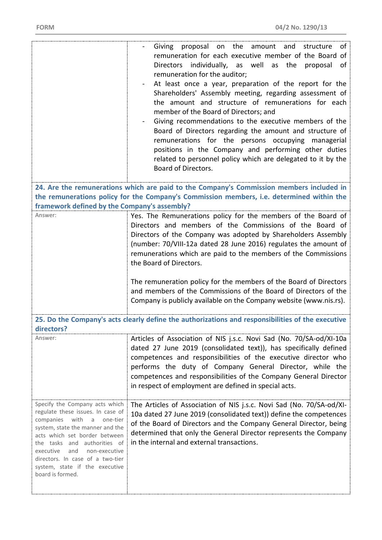|                                                                                                                                                                                                                                                                                                                                         | Giving proposal on the amount and structure<br>of<br>remuneration for each executive member of the Board of<br>Directors individually, as well as the proposal of<br>remuneration for the auditor;<br>At least once a year, preparation of the report for the<br>Shareholders' Assembly meeting, regarding assessment of<br>the amount and structure of remunerations for each<br>member of the Board of Directors; and<br>Giving recommendations to the executive members of the<br>Board of Directors regarding the amount and structure of<br>remunerations for the persons occupying managerial<br>positions in the Company and performing other duties<br>related to personnel policy which are delegated to it by the<br>Board of Directors. |
|-----------------------------------------------------------------------------------------------------------------------------------------------------------------------------------------------------------------------------------------------------------------------------------------------------------------------------------------|----------------------------------------------------------------------------------------------------------------------------------------------------------------------------------------------------------------------------------------------------------------------------------------------------------------------------------------------------------------------------------------------------------------------------------------------------------------------------------------------------------------------------------------------------------------------------------------------------------------------------------------------------------------------------------------------------------------------------------------------------|
|                                                                                                                                                                                                                                                                                                                                         | 24. Are the remunerations which are paid to the Company's Commission members included in                                                                                                                                                                                                                                                                                                                                                                                                                                                                                                                                                                                                                                                           |
| framework defined by the Company's assembly?                                                                                                                                                                                                                                                                                            | the remunerations policy for the Company's Commission members, i.e. determined within the                                                                                                                                                                                                                                                                                                                                                                                                                                                                                                                                                                                                                                                          |
| Answer:                                                                                                                                                                                                                                                                                                                                 | Yes. The Remunerations policy for the members of the Board of<br>Directors and members of the Commissions of the Board of<br>Directors of the Company was adopted by Shareholders Assembly<br>(number: 70/VIII-12a dated 28 June 2016) regulates the amount of<br>remunerations which are paid to the members of the Commissions<br>the Board of Directors.                                                                                                                                                                                                                                                                                                                                                                                        |
|                                                                                                                                                                                                                                                                                                                                         | The remuneration policy for the members of the Board of Directors<br>and members of the Commissions of the Board of Directors of the<br>Company is publicly available on the Company website (www.nis.rs).                                                                                                                                                                                                                                                                                                                                                                                                                                                                                                                                         |
| directors?                                                                                                                                                                                                                                                                                                                              | 25. Do the Company's acts clearly define the authorizations and responsibilities of the executive                                                                                                                                                                                                                                                                                                                                                                                                                                                                                                                                                                                                                                                  |
| Answer:                                                                                                                                                                                                                                                                                                                                 | Articles of Association of NIS j.s.c. Novi Sad (No. 70/SA-od/XI-10a<br>dated 27 June 2019 (consolidated text)), has specifically defined<br>competences and responsibilities of the executive director who<br>performs the duty of Company General Director, while the<br>competences and responsibilities of the Company General Director<br>in respect of employment are defined in special acts.                                                                                                                                                                                                                                                                                                                                                |
| Specify the Company acts which<br>regulate these issues. In case of<br>companies with a<br>one-tier<br>system, state the manner and the<br>acts which set border between<br>the tasks and authorities of<br>executive<br>and<br>non-executive<br>directors. In case of a two-tier<br>system, state if the executive<br>board is formed. | The Articles of Association of NIS j.s.c. Novi Sad (No. 70/SA-od/XI-<br>10a dated 27 June 2019 (consolidated text)) define the competences<br>of the Board of Directors and the Company General Director, being<br>determined that only the General Director represents the Company<br>in the internal and external transactions.                                                                                                                                                                                                                                                                                                                                                                                                                  |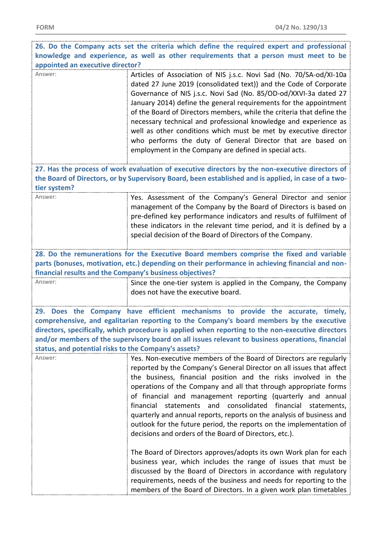| 26. Do the Company acts set the criteria which define the required expert and professional                                                                                                                                                                                                                                                                                                                                                      |                                                                                                                                                                                                                                                                                                                                                                                                                                                                                                                                                                                                                                                                                                                                                                                                                                                                                                                                                                                     |  |
|-------------------------------------------------------------------------------------------------------------------------------------------------------------------------------------------------------------------------------------------------------------------------------------------------------------------------------------------------------------------------------------------------------------------------------------------------|-------------------------------------------------------------------------------------------------------------------------------------------------------------------------------------------------------------------------------------------------------------------------------------------------------------------------------------------------------------------------------------------------------------------------------------------------------------------------------------------------------------------------------------------------------------------------------------------------------------------------------------------------------------------------------------------------------------------------------------------------------------------------------------------------------------------------------------------------------------------------------------------------------------------------------------------------------------------------------------|--|
| knowledge and experience, as well as other requirements that a person must meet to be                                                                                                                                                                                                                                                                                                                                                           |                                                                                                                                                                                                                                                                                                                                                                                                                                                                                                                                                                                                                                                                                                                                                                                                                                                                                                                                                                                     |  |
| appointed an executive director?                                                                                                                                                                                                                                                                                                                                                                                                                |                                                                                                                                                                                                                                                                                                                                                                                                                                                                                                                                                                                                                                                                                                                                                                                                                                                                                                                                                                                     |  |
| Answer:                                                                                                                                                                                                                                                                                                                                                                                                                                         | Articles of Association of NIS j.s.c. Novi Sad (No. 70/SA-od/XI-10a<br>dated 27 June 2019 (consolidated text)) and the Code of Corporate<br>Governance of NIS j.s.c. Novi Sad (No. 85/OD-od/XXVI-3a dated 27<br>January 2014) define the general requirements for the appointment<br>of the Board of Directors members, while the criteria that define the<br>necessary technical and professional knowledge and experience as<br>well as other conditions which must be met by executive director<br>who performs the duty of General Director that are based on<br>employment in the Company are defined in special acts.                                                                                                                                                                                                                                                                                                                                                         |  |
| tier system?                                                                                                                                                                                                                                                                                                                                                                                                                                    | 27. Has the process of work evaluation of executive directors by the non-executive directors of<br>the Board of Directors, or by Supervisory Board, been established and is applied, in case of a two-                                                                                                                                                                                                                                                                                                                                                                                                                                                                                                                                                                                                                                                                                                                                                                              |  |
| Answer:                                                                                                                                                                                                                                                                                                                                                                                                                                         | Yes. Assessment of the Company's General Director and senior<br>management of the Company by the Board of Directors is based on<br>pre-defined key performance indicators and results of fulfilment of<br>these indicators in the relevant time period, and it is defined by a<br>special decision of the Board of Directors of the Company.                                                                                                                                                                                                                                                                                                                                                                                                                                                                                                                                                                                                                                        |  |
| financial results and the Company's business objectives?                                                                                                                                                                                                                                                                                                                                                                                        | 28. Do the remunerations for the Executive Board members comprise the fixed and variable<br>parts (bonuses, motivation, etc.) depending on their performance in achieving financial and non-                                                                                                                                                                                                                                                                                                                                                                                                                                                                                                                                                                                                                                                                                                                                                                                        |  |
| Answer:                                                                                                                                                                                                                                                                                                                                                                                                                                         | Since the one-tier system is applied in the Company, the Company<br>does not have the executive board.                                                                                                                                                                                                                                                                                                                                                                                                                                                                                                                                                                                                                                                                                                                                                                                                                                                                              |  |
| Does the Company have efficient mechanisms to provide the accurate, timely,<br>29.<br>comprehensive, and egalitarian reporting to the Company's board members by the executive<br>directors, specifically, which procedure is applied when reporting to the non-executive directors<br>and/or members of the supervisory board on all issues relevant to business operations, financial<br>status, and potential risks to the Company's assets? |                                                                                                                                                                                                                                                                                                                                                                                                                                                                                                                                                                                                                                                                                                                                                                                                                                                                                                                                                                                     |  |
| Answer:                                                                                                                                                                                                                                                                                                                                                                                                                                         | Yes. Non-executive members of the Board of Directors are regularly<br>reported by the Company's General Director on all issues that affect<br>the business, financial position and the risks involved in the<br>operations of the Company and all that through appropriate forms<br>of financial and management reporting (quarterly and annual<br>financial statements and consolidated financial<br>statements,<br>quarterly and annual reports, reports on the analysis of business and<br>outlook for the future period, the reports on the implementation of<br>decisions and orders of the Board of Directors, etc.).<br>The Board of Directors approves/adopts its own Work plan for each<br>business year, which includes the range of issues that must be<br>discussed by the Board of Directors in accordance with regulatory<br>requirements, needs of the business and needs for reporting to the<br>members of the Board of Directors. In a given work plan timetables |  |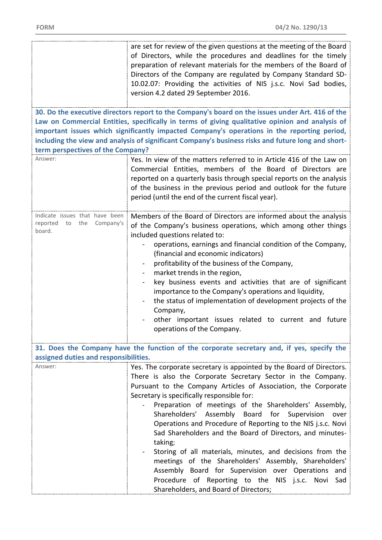|                                                                      | are set for review of the given questions at the meeting of the Board<br>of Directors, while the procedures and deadlines for the timely<br>preparation of relevant materials for the members of the Board of<br>Directors of the Company are regulated by Company Standard SD-<br>10.02.07: Providing the activities of NIS j.s.c. Novi Sad bodies,<br>version 4.2 dated 29 September 2016. |
|----------------------------------------------------------------------|----------------------------------------------------------------------------------------------------------------------------------------------------------------------------------------------------------------------------------------------------------------------------------------------------------------------------------------------------------------------------------------------|
|                                                                      | 30. Do the executive directors report to the Company's board on the issues under Art. 416 of the                                                                                                                                                                                                                                                                                             |
|                                                                      | Law on Commercial Entities, specifically in terms of giving qualitative opinion and analysis of                                                                                                                                                                                                                                                                                              |
|                                                                      | important issues which significantly impacted Company's operations in the reporting period,                                                                                                                                                                                                                                                                                                  |
|                                                                      | including the view and analysis of significant Company's business risks and future long and short-                                                                                                                                                                                                                                                                                           |
| term perspectives of the Company?                                    |                                                                                                                                                                                                                                                                                                                                                                                              |
| Answer:                                                              | Yes. In view of the matters referred to in Article 416 of the Law on                                                                                                                                                                                                                                                                                                                         |
|                                                                      |                                                                                                                                                                                                                                                                                                                                                                                              |
|                                                                      | Commercial Entities, members of the Board of Directors are                                                                                                                                                                                                                                                                                                                                   |
|                                                                      | reported on a quarterly basis through special reports on the analysis                                                                                                                                                                                                                                                                                                                        |
|                                                                      | of the business in the previous period and outlook for the future                                                                                                                                                                                                                                                                                                                            |
|                                                                      | period (until the end of the current fiscal year).                                                                                                                                                                                                                                                                                                                                           |
|                                                                      |                                                                                                                                                                                                                                                                                                                                                                                              |
| Indicate issues that have been<br>reported<br>the<br>Company's<br>to | Members of the Board of Directors are informed about the analysis                                                                                                                                                                                                                                                                                                                            |
| board.                                                               | of the Company's business operations, which among other things                                                                                                                                                                                                                                                                                                                               |
|                                                                      | included questions related to:                                                                                                                                                                                                                                                                                                                                                               |
|                                                                      | operations, earnings and financial condition of the Company,                                                                                                                                                                                                                                                                                                                                 |
|                                                                      | (financial and economic indicators)                                                                                                                                                                                                                                                                                                                                                          |
|                                                                      | profitability of the business of the Company,                                                                                                                                                                                                                                                                                                                                                |
|                                                                      | market trends in the region,                                                                                                                                                                                                                                                                                                                                                                 |
|                                                                      | key business events and activities that are of significant<br>$\blacksquare$                                                                                                                                                                                                                                                                                                                 |
|                                                                      | importance to the Company's operations and liquidity,                                                                                                                                                                                                                                                                                                                                        |
|                                                                      | the status of implementation of development projects of the                                                                                                                                                                                                                                                                                                                                  |
|                                                                      | Company,                                                                                                                                                                                                                                                                                                                                                                                     |
|                                                                      | other important issues related to current and future                                                                                                                                                                                                                                                                                                                                         |
|                                                                      | operations of the Company.                                                                                                                                                                                                                                                                                                                                                                   |
|                                                                      |                                                                                                                                                                                                                                                                                                                                                                                              |
|                                                                      | 31. Does the Company have the function of the corporate secretary and, if yes, specify the                                                                                                                                                                                                                                                                                                   |
| assigned duties and responsibilities.                                |                                                                                                                                                                                                                                                                                                                                                                                              |
| Answer:                                                              | Yes. The corporate secretary is appointed by the Board of Directors.                                                                                                                                                                                                                                                                                                                         |
|                                                                      | There is also the Corporate Secretary Sector in the Company.                                                                                                                                                                                                                                                                                                                                 |
|                                                                      | Pursuant to the Company Articles of Association, the Corporate                                                                                                                                                                                                                                                                                                                               |
|                                                                      | Secretary is specifically responsible for:                                                                                                                                                                                                                                                                                                                                                   |
|                                                                      | Preparation of meetings of the Shareholders' Assembly,                                                                                                                                                                                                                                                                                                                                       |
|                                                                      | Shareholders' Assembly Board for Supervision<br>over                                                                                                                                                                                                                                                                                                                                         |
|                                                                      | Operations and Procedure of Reporting to the NIS j.s.c. Novi                                                                                                                                                                                                                                                                                                                                 |
|                                                                      | Sad Shareholders and the Board of Directors, and minutes-                                                                                                                                                                                                                                                                                                                                    |
|                                                                      | taking;                                                                                                                                                                                                                                                                                                                                                                                      |
|                                                                      | Storing of all materials, minutes, and decisions from the                                                                                                                                                                                                                                                                                                                                    |
|                                                                      | meetings of the Shareholders' Assembly, Shareholders'                                                                                                                                                                                                                                                                                                                                        |
|                                                                      | Assembly Board for Supervision over Operations and                                                                                                                                                                                                                                                                                                                                           |
|                                                                      | Procedure of Reporting to the NIS j.s.c. Novi Sad                                                                                                                                                                                                                                                                                                                                            |
|                                                                      | Shareholders, and Board of Directors;                                                                                                                                                                                                                                                                                                                                                        |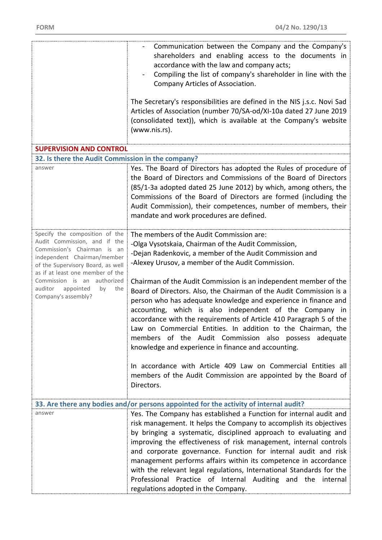|                                                                                                                                                                                                                                                                                                  | Communication between the Company and the Company's<br>shareholders and enabling access to the documents in<br>accordance with the law and company acts;<br>Compiling the list of company's shareholder in line with the<br>Company Articles of Association.<br>The Secretary's responsibilities are defined in the NIS j.s.c. Novi Sad<br>Articles of Association (number 70/SA-od/XI-10a dated 27 June 2019<br>(consolidated text)), which is available at the Company's website<br>(www.nis.rs).                                                                                                                                                                                                                                                                                                                                                                                               |
|--------------------------------------------------------------------------------------------------------------------------------------------------------------------------------------------------------------------------------------------------------------------------------------------------|---------------------------------------------------------------------------------------------------------------------------------------------------------------------------------------------------------------------------------------------------------------------------------------------------------------------------------------------------------------------------------------------------------------------------------------------------------------------------------------------------------------------------------------------------------------------------------------------------------------------------------------------------------------------------------------------------------------------------------------------------------------------------------------------------------------------------------------------------------------------------------------------------|
| <b>SUPERVISION AND CONTROL</b>                                                                                                                                                                                                                                                                   |                                                                                                                                                                                                                                                                                                                                                                                                                                                                                                                                                                                                                                                                                                                                                                                                                                                                                                   |
| 32. Is there the Audit Commission in the company?                                                                                                                                                                                                                                                |                                                                                                                                                                                                                                                                                                                                                                                                                                                                                                                                                                                                                                                                                                                                                                                                                                                                                                   |
| answer                                                                                                                                                                                                                                                                                           | Yes. The Board of Directors has adopted the Rules of procedure of<br>the Board of Directors and Commissions of the Board of Directors<br>(85/1-3a adopted dated 25 June 2012) by which, among others, the<br>Commissions of the Board of Directors are formed (including the<br>Audit Commission), their competences, number of members, their<br>mandate and work procedures are defined.                                                                                                                                                                                                                                                                                                                                                                                                                                                                                                        |
| Specify the composition of the<br>Audit Commission, and if the<br>Commission's Chairman is an<br>independent Chairman/member<br>of the Supervisory Board, as well<br>as if at least one member of the<br>Commission is an authorized<br>appointed<br>auditor<br>the<br>by<br>Company's assembly? | The members of the Audit Commission are:<br>-Olga Vysotskaia, Chairman of the Audit Commission,<br>-Dejan Radenkovic, a member of the Audit Commission and<br>-Alexey Urusov, a member of the Audit Commission.<br>Chairman of the Audit Commission is an independent member of the<br>Board of Directors. Also, the Chairman of the Audit Commission is a<br>person who has adequate knowledge and experience in finance and<br>accounting, which is also independent of the Company in<br>accordance with the requirements of Article 410 Paragraph 5 of the<br>Law on Commercial Entities. In addition to the Chairman, the<br>members of the Audit Commission also possess<br>adequate<br>knowledge and experience in finance and accounting.<br>In accordance with Article 409 Law on Commercial Entities all<br>members of the Audit Commission are appointed by the Board of<br>Directors. |
|                                                                                                                                                                                                                                                                                                  | 33. Are there any bodies and/or persons appointed for the activity of internal audit?                                                                                                                                                                                                                                                                                                                                                                                                                                                                                                                                                                                                                                                                                                                                                                                                             |
| answer                                                                                                                                                                                                                                                                                           | Yes. The Company has established a Function for internal audit and<br>risk management. It helps the Company to accomplish its objectives<br>by bringing a systematic, disciplined approach to evaluating and<br>improving the effectiveness of risk management, internal controls<br>and corporate governance. Function for internal audit and risk<br>management performs affairs within its competence in accordance<br>with the relevant legal regulations, International Standards for the<br>Professional Practice of Internal Auditing and the internal<br>regulations adopted in the Company.                                                                                                                                                                                                                                                                                              |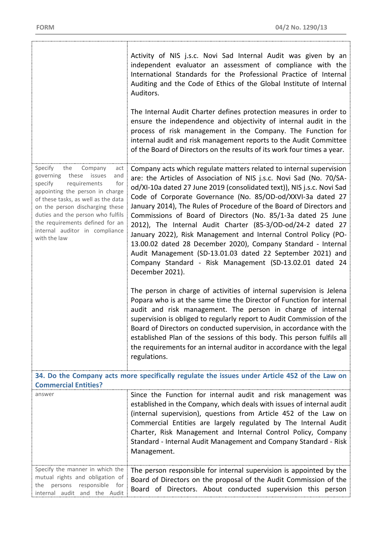|                                                                                                                                                                                                                                                                                                                                                  | Activity of NIS j.s.c. Novi Sad Internal Audit was given by an<br>independent evaluator an assessment of compliance with the<br>International Standards for the Professional Practice of Internal<br>Auditing and the Code of Ethics of the Global Institute of Internal<br>Auditors.<br>The Internal Audit Charter defines protection measures in order to<br>ensure the independence and objectivity of internal audit in the<br>process of risk management in the Company. The Function for<br>internal audit and risk management reports to the Audit Committee<br>of the Board of Directors on the results of its work four times a year.                                                                                                                             |  |
|--------------------------------------------------------------------------------------------------------------------------------------------------------------------------------------------------------------------------------------------------------------------------------------------------------------------------------------------------|----------------------------------------------------------------------------------------------------------------------------------------------------------------------------------------------------------------------------------------------------------------------------------------------------------------------------------------------------------------------------------------------------------------------------------------------------------------------------------------------------------------------------------------------------------------------------------------------------------------------------------------------------------------------------------------------------------------------------------------------------------------------------|--|
| Specify<br>the<br>Company<br>act<br>governing<br>these<br>issues<br>and<br>specify<br>requirements<br>for<br>appointing the person in charge<br>of these tasks, as well as the data<br>on the person discharging these<br>duties and the person who fulfils<br>the requirements defined for an<br>internal auditor in compliance<br>with the law | Company acts which regulate matters related to internal supervision<br>are: the Articles of Association of NIS j.s.c. Novi Sad (No. 70/SA-<br>od/XI-10a dated 27 June 2019 (consolidated text)), NIS j.s.c. Novi Sad<br>Code of Corporate Governance (No. 85/OD-od/XXVI-3a dated 27<br>January 2014), The Rules of Procedure of the Board of Directors and<br>Commissions of Board of Directors (No. 85/1-3a dated 25 June<br>2012), The Internal Audit Charter (85-3/OD-od/24-2 dated 27<br>January 2022), Risk Management and Internal Control Policy (PO-<br>13.00.02 dated 28 December 2020), Company Standard - Internal<br>Audit Management (SD-13.01.03 dated 22 September 2021) and<br>Company Standard - Risk Management (SD-13.02.01 dated 24<br>December 2021). |  |
|                                                                                                                                                                                                                                                                                                                                                  | The person in charge of activities of internal supervision is Jelena<br>Popara who is at the same time the Director of Function for internal<br>audit and risk management. The person in charge of internal<br>supervision is obliged to regularly report to Audit Commission of the<br>Board of Directors on conducted supervision, in accordance with the<br>established Plan of the sessions of this body. This person fulfils all<br>the requirements for an internal auditor in accordance with the legal<br>regulations.                                                                                                                                                                                                                                             |  |
| 34. Do the Company acts more specifically regulate the issues under Article 452 of the Law on<br><b>Commercial Entities?</b>                                                                                                                                                                                                                     |                                                                                                                                                                                                                                                                                                                                                                                                                                                                                                                                                                                                                                                                                                                                                                            |  |
| answer                                                                                                                                                                                                                                                                                                                                           | Since the Function for internal audit and risk management was<br>established in the Company, which deals with issues of internal audit<br>(internal supervision), questions from Article 452 of the Law on<br>Commercial Entities are largely regulated by The Internal Audit<br>Charter, Risk Management and Internal Control Policy, Company<br>Standard - Internal Audit Management and Company Standard - Risk<br>Management.                                                                                                                                                                                                                                                                                                                                          |  |
| Specify the manner in which the<br>mutual rights and obligation of<br>persons responsible for<br>the<br>internal audit and the Audit                                                                                                                                                                                                             | The person responsible for internal supervision is appointed by the<br>Board of Directors on the proposal of the Audit Commission of the<br>Board of Directors. About conducted supervision this person                                                                                                                                                                                                                                                                                                                                                                                                                                                                                                                                                                    |  |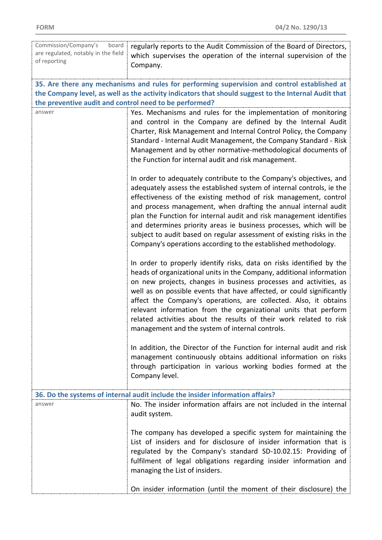| Commission/Company's<br>board                          | regularly reports to the Audit Commission of the Board of Directors,                                                                                                                                                                                                                                                                                                                                                                                                                                                                                       |
|--------------------------------------------------------|------------------------------------------------------------------------------------------------------------------------------------------------------------------------------------------------------------------------------------------------------------------------------------------------------------------------------------------------------------------------------------------------------------------------------------------------------------------------------------------------------------------------------------------------------------|
| are regulated, notably in the field<br>of reporting    | which supervises the operation of the internal supervision of the                                                                                                                                                                                                                                                                                                                                                                                                                                                                                          |
|                                                        | Company.                                                                                                                                                                                                                                                                                                                                                                                                                                                                                                                                                   |
|                                                        | 35. Are there any mechanisms and rules for performing supervision and control established at                                                                                                                                                                                                                                                                                                                                                                                                                                                               |
|                                                        | the Company level, as well as the activity indicators that should suggest to the Internal Audit that                                                                                                                                                                                                                                                                                                                                                                                                                                                       |
| the preventive audit and control need to be performed? |                                                                                                                                                                                                                                                                                                                                                                                                                                                                                                                                                            |
| answer                                                 | Yes. Mechanisms and rules for the implementation of monitoring<br>and control in the Company are defined by the Internal Audit<br>Charter, Risk Management and Internal Control Policy, the Company<br>Standard - Internal Audit Management, the Company Standard - Risk<br>Management and by other normative-methodological documents of<br>the Function for internal audit and risk management.                                                                                                                                                          |
|                                                        | In order to adequately contribute to the Company's objectives, and<br>adequately assess the established system of internal controls, ie the                                                                                                                                                                                                                                                                                                                                                                                                                |
|                                                        | effectiveness of the existing method of risk management, control<br>and process management, when drafting the annual internal audit<br>plan the Function for internal audit and risk management identifies<br>and determines priority areas ie business processes, which will be<br>subject to audit based on regular assessment of existing risks in the<br>Company's operations according to the established methodology.                                                                                                                                |
|                                                        | In order to properly identify risks, data on risks identified by the<br>heads of organizational units in the Company, additional information<br>on new projects, changes in business processes and activities, as<br>well as on possible events that have affected, or could significantly<br>affect the Company's operations, are collected. Also, it obtains<br>relevant information from the organizational units that perform<br>related activities about the results of their work related to risk<br>management and the system of internal controls. |
|                                                        | In addition, the Director of the Function for internal audit and risk<br>management continuously obtains additional information on risks<br>through participation in various working bodies formed at the<br>Company level.                                                                                                                                                                                                                                                                                                                                |
|                                                        | 36. Do the systems of internal audit include the insider information affairs?                                                                                                                                                                                                                                                                                                                                                                                                                                                                              |
| answer                                                 | No. The insider information affairs are not included in the internal<br>audit system.                                                                                                                                                                                                                                                                                                                                                                                                                                                                      |
|                                                        | The company has developed a specific system for maintaining the<br>List of insiders and for disclosure of insider information that is<br>regulated by the Company's standard SD-10.02.15: Providing of<br>fulfilment of legal obligations regarding insider information and<br>managing the List of insiders.                                                                                                                                                                                                                                              |
|                                                        | On insider information (until the moment of their disclosure) the                                                                                                                                                                                                                                                                                                                                                                                                                                                                                          |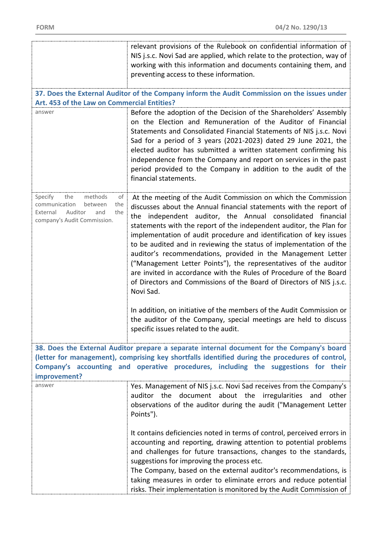|                                                                    | relevant provisions of the Rulebook on confidential information of                                                                        |
|--------------------------------------------------------------------|-------------------------------------------------------------------------------------------------------------------------------------------|
|                                                                    | NIS j.s.c. Novi Sad are applied, which relate to the protection, way of                                                                   |
|                                                                    | working with this information and documents containing them, and                                                                          |
|                                                                    | preventing access to these information.                                                                                                   |
|                                                                    |                                                                                                                                           |
|                                                                    | 37. Does the External Auditor of the Company inform the Audit Commission on the issues under                                              |
| Art. 453 of the Law on Commercial Entities?                        |                                                                                                                                           |
| answer                                                             | Before the adoption of the Decision of the Shareholders' Assembly                                                                         |
|                                                                    | on the Election and Remuneration of the Auditor of Financial                                                                              |
|                                                                    | Statements and Consolidated Financial Statements of NIS j.s.c. Novi                                                                       |
|                                                                    | Sad for a period of 3 years (2021-2023) dated 29 June 2021, the                                                                           |
|                                                                    | elected auditor has submitted a written statement confirming his                                                                          |
|                                                                    | independence from the Company and report on services in the past                                                                          |
|                                                                    | period provided to the Company in addition to the audit of the                                                                            |
|                                                                    | financial statements.                                                                                                                     |
|                                                                    |                                                                                                                                           |
| Specify<br>methods<br>the<br>of<br>the<br>communication<br>between | At the meeting of the Audit Commission on which the Commission                                                                            |
| the<br>Auditor<br>External<br>and                                  | discusses about the Annual financial statements with the report of                                                                        |
| company's Audit Commission.                                        | the independent auditor, the Annual consolidated financial                                                                                |
|                                                                    | statements with the report of the independent auditor, the Plan for<br>implementation of audit procedure and identification of key issues |
|                                                                    | to be audited and in reviewing the status of implementation of the                                                                        |
|                                                                    | auditor's recommendations, provided in the Management Letter                                                                              |
|                                                                    | ("Management Letter Points"), the representatives of the auditor                                                                          |
|                                                                    | are invited in accordance with the Rules of Procedure of the Board                                                                        |
|                                                                    | of Directors and Commissions of the Board of Directors of NIS j.s.c.                                                                      |
|                                                                    | Novi Sad.                                                                                                                                 |
|                                                                    |                                                                                                                                           |
|                                                                    | In addition, on initiative of the members of the Audit Commission or                                                                      |
|                                                                    | the auditor of the Company, special meetings are held to discuss                                                                          |
|                                                                    | specific issues related to the audit.                                                                                                     |
|                                                                    |                                                                                                                                           |
|                                                                    | 38. Does the External Auditor prepare a separate internal document for the Company's board                                                |
|                                                                    | (letter for management), comprising key shortfalls identified during the procedures of control,                                           |
|                                                                    | Company's accounting and operative procedures, including the suggestions for their                                                        |
| improvement?                                                       |                                                                                                                                           |
| answer                                                             | Yes. Management of NIS j.s.c. Novi Sad receives from the Company's                                                                        |
|                                                                    | auditor the document about the irregularities and<br>other                                                                                |
|                                                                    | observations of the auditor during the audit ("Management Letter                                                                          |
|                                                                    | Points").                                                                                                                                 |
|                                                                    |                                                                                                                                           |
|                                                                    | It contains deficiencies noted in terms of control, perceived errors in                                                                   |
|                                                                    | accounting and reporting, drawing attention to potential problems                                                                         |
|                                                                    | and challenges for future transactions, changes to the standards,                                                                         |
|                                                                    | suggestions for improving the process etc.                                                                                                |
|                                                                    | The Company, based on the external auditor's recommendations, is                                                                          |
|                                                                    | taking measures in order to eliminate errors and reduce potential                                                                         |
|                                                                    | risks. Their implementation is monitored by the Audit Commission of                                                                       |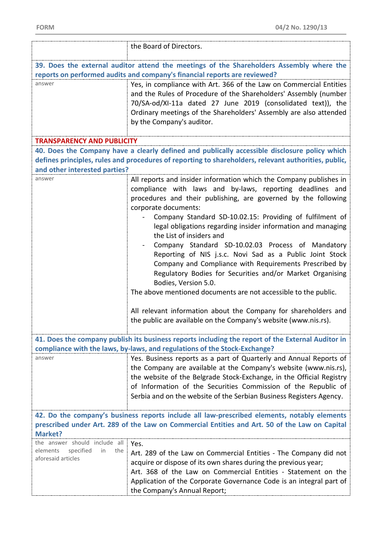|                                                                                                          | the Board of Directors.                                                                                                                                                                                                                                                                                                                                                                                                                                                                                                                                                                                                                                                                                                                                                                                                                                    |
|----------------------------------------------------------------------------------------------------------|------------------------------------------------------------------------------------------------------------------------------------------------------------------------------------------------------------------------------------------------------------------------------------------------------------------------------------------------------------------------------------------------------------------------------------------------------------------------------------------------------------------------------------------------------------------------------------------------------------------------------------------------------------------------------------------------------------------------------------------------------------------------------------------------------------------------------------------------------------|
|                                                                                                          |                                                                                                                                                                                                                                                                                                                                                                                                                                                                                                                                                                                                                                                                                                                                                                                                                                                            |
|                                                                                                          | 39. Does the external auditor attend the meetings of the Shareholders Assembly where the<br>reports on performed audits and company's financial reports are reviewed?                                                                                                                                                                                                                                                                                                                                                                                                                                                                                                                                                                                                                                                                                      |
| answer                                                                                                   | Yes, in compliance with Art. 366 of the Law on Commercial Entities<br>and the Rules of Procedure of the Shareholders' Assembly (number<br>70/SA-od/XI-11a dated 27 June 2019 (consolidated text)), the<br>Ordinary meetings of the Shareholders' Assembly are also attended<br>by the Company's auditor.                                                                                                                                                                                                                                                                                                                                                                                                                                                                                                                                                   |
| <b>TRANSPARENCY AND PUBLICITY</b>                                                                        |                                                                                                                                                                                                                                                                                                                                                                                                                                                                                                                                                                                                                                                                                                                                                                                                                                                            |
| and other interested parties?                                                                            | 40. Does the Company have a clearly defined and publically accessible disclosure policy which<br>defines principles, rules and procedures of reporting to shareholders, relevant authorities, public,                                                                                                                                                                                                                                                                                                                                                                                                                                                                                                                                                                                                                                                      |
| answer                                                                                                   | All reports and insider information which the Company publishes in<br>compliance with laws and by-laws, reporting deadlines and<br>procedures and their publishing, are governed by the following<br>corporate documents:<br>Company Standard SD-10.02.15: Providing of fulfilment of<br>legal obligations regarding insider information and managing<br>the List of insiders and<br>Company Standard SD-10.02.03 Process of Mandatory<br>Reporting of NIS j.s.c. Novi Sad as a Public Joint Stock<br>Company and Compliance with Requirements Prescribed by<br>Regulatory Bodies for Securities and/or Market Organising<br>Bodies, Version 5.0.<br>The above mentioned documents are not accessible to the public.<br>All relevant information about the Company for shareholders and<br>the public are available on the Company's website (www.nis.rs). |
|                                                                                                          |                                                                                                                                                                                                                                                                                                                                                                                                                                                                                                                                                                                                                                                                                                                                                                                                                                                            |
|                                                                                                          | 41. Does the company publish its business reports including the report of the External Auditor in<br>compliance with the laws, by-laws, and regulations of the Stock-Exchange?                                                                                                                                                                                                                                                                                                                                                                                                                                                                                                                                                                                                                                                                             |
| answer                                                                                                   | Yes. Business reports as a part of Quarterly and Annual Reports of<br>the Company are available at the Company's website (www.nis.rs),<br>the website of the Belgrade Stock-Exchange, in the Official Registry<br>of Information of the Securities Commission of the Republic of<br>Serbia and on the website of the Serbian Business Registers Agency.                                                                                                                                                                                                                                                                                                                                                                                                                                                                                                    |
|                                                                                                          | 42. Do the company's business reports include all law-prescribed elements, notably elements                                                                                                                                                                                                                                                                                                                                                                                                                                                                                                                                                                                                                                                                                                                                                                |
| prescribed under Art. 289 of the Law on Commercial Entities and Art. 50 of the Law on Capital<br>Market? |                                                                                                                                                                                                                                                                                                                                                                                                                                                                                                                                                                                                                                                                                                                                                                                                                                                            |
| the answer should include all<br>specified<br>the<br>elements<br>in<br>aforesaid articles                | Yes.<br>Art. 289 of the Law on Commercial Entities - The Company did not<br>acquire or dispose of its own shares during the previous year;<br>Art. 368 of the Law on Commercial Entities - Statement on the<br>Application of the Corporate Governance Code is an integral part of<br>the Company's Annual Report;                                                                                                                                                                                                                                                                                                                                                                                                                                                                                                                                         |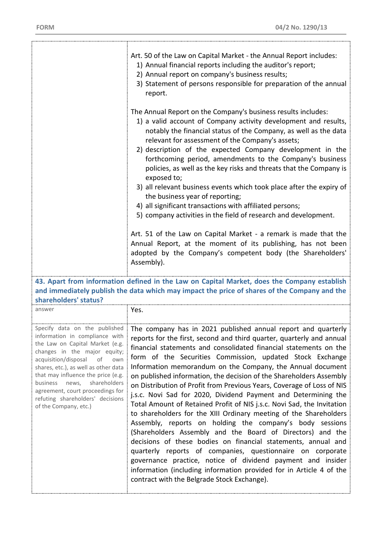|                                                                                                                                                                                                                                                                                                                                                      | Art. 50 of the Law on Capital Market - the Annual Report includes:<br>1) Annual financial reports including the auditor's report;<br>2) Annual report on company's business results;<br>3) Statement of persons responsible for preparation of the annual<br>report.<br>The Annual Report on the Company's business results includes:<br>1) a valid account of Company activity development and results,<br>notably the financial status of the Company, as well as the data<br>relevant for assessment of the Company's assets;<br>2) description of the expected Company development in the<br>forthcoming period, amendments to the Company's business<br>policies, as well as the key risks and threats that the Company is<br>exposed to;<br>3) all relevant business events which took place after the expiry of<br>the business year of reporting;<br>4) all significant transactions with affiliated persons;<br>5) company activities in the field of research and development.<br>Art. 51 of the Law on Capital Market - a remark is made that the<br>Annual Report, at the moment of its publishing, has not been<br>adopted by the Company's competent body (the Shareholders'<br>Assembly). |
|------------------------------------------------------------------------------------------------------------------------------------------------------------------------------------------------------------------------------------------------------------------------------------------------------------------------------------------------------|----------------------------------------------------------------------------------------------------------------------------------------------------------------------------------------------------------------------------------------------------------------------------------------------------------------------------------------------------------------------------------------------------------------------------------------------------------------------------------------------------------------------------------------------------------------------------------------------------------------------------------------------------------------------------------------------------------------------------------------------------------------------------------------------------------------------------------------------------------------------------------------------------------------------------------------------------------------------------------------------------------------------------------------------------------------------------------------------------------------------------------------------------------------------------------------------------------|
|                                                                                                                                                                                                                                                                                                                                                      | 43. Apart from information defined in the Law on Capital Market, does the Company establish<br>and immediately publish the data which may impact the price of shares of the Company and the                                                                                                                                                                                                                                                                                                                                                                                                                                                                                                                                                                                                                                                                                                                                                                                                                                                                                                                                                                                                              |
| shareholders' status?<br>answer                                                                                                                                                                                                                                                                                                                      | Yes.                                                                                                                                                                                                                                                                                                                                                                                                                                                                                                                                                                                                                                                                                                                                                                                                                                                                                                                                                                                                                                                                                                                                                                                                     |
| information in compliance with<br>the Law on Capital Market (e.g.<br>changes in the major equity;<br>acquisition/disposal of<br>own<br>shares, etc.), as well as other data<br>that may influence the price (e.g.<br>shareholders<br>business news,<br>agreement, court proceedings for<br>refuting shareholders' decisions<br>of the Company, etc.) | Specify data on the published   The company has in 2021 published annual report and quarterly<br>reports for the first, second and third quarter, quarterly and annual<br>financial statements and consolidated financial statements on the<br>form of the Securities Commission, updated Stock Exchange<br>Information memorandum on the Company, the Annual document<br>on published information, the decision of the Shareholders Assembly<br>on Distribution of Profit from Previous Years, Coverage of Loss of NIS<br>j.s.c. Novi Sad for 2020, Dividend Payment and Determining the<br>Total Amount of Retained Profit of NIS j.s.c. Novi Sad, the Invitation<br>to shareholders for the XIII Ordinary meeting of the Shareholders<br>Assembly, reports on holding the company's body sessions<br>(Shareholders Assembly and the Board of Directors) and the<br>decisions of these bodies on financial statements, annual and<br>quarterly reports of companies, questionnaire on corporate<br>governance practice, notice of dividend payment and insider<br>information (including information provided for in Article 4 of the<br>contract with the Belgrade Stock Exchange).                   |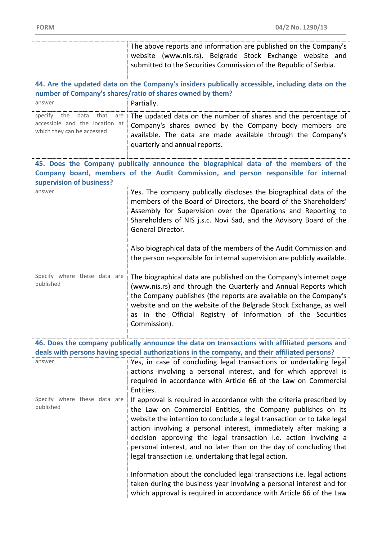|                                                                                                       | The above reports and information are published on the Company's<br>website (www.nis.rs), Belgrade Stock Exchange website and<br>submitted to the Securities Commission of the Republic of Serbia.                                                                                                                                                                                                                                                                                                                                                                                                                                      |
|-------------------------------------------------------------------------------------------------------|-----------------------------------------------------------------------------------------------------------------------------------------------------------------------------------------------------------------------------------------------------------------------------------------------------------------------------------------------------------------------------------------------------------------------------------------------------------------------------------------------------------------------------------------------------------------------------------------------------------------------------------------|
|                                                                                                       | 44. Are the updated data on the Company's insiders publically accessible, including data on the<br>number of Company's shares/ratio of shares owned by them?                                                                                                                                                                                                                                                                                                                                                                                                                                                                            |
| answer                                                                                                | Partially.                                                                                                                                                                                                                                                                                                                                                                                                                                                                                                                                                                                                                              |
| data<br>that<br>specify<br>the<br>are<br>accessible and the location at<br>which they can be accessed | The updated data on the number of shares and the percentage of<br>Company's shares owned by the Company body members are<br>available. The data are made available through the Company's<br>quarterly and annual reports.                                                                                                                                                                                                                                                                                                                                                                                                               |
| supervision of business?                                                                              | 45. Does the Company publically announce the biographical data of the members of the<br>Company board, members of the Audit Commission, and person responsible for internal                                                                                                                                                                                                                                                                                                                                                                                                                                                             |
| answer                                                                                                | Yes. The company publically discloses the biographical data of the<br>members of the Board of Directors, the board of the Shareholders'<br>Assembly for Supervision over the Operations and Reporting to<br>Shareholders of NIS j.s.c. Novi Sad, and the Advisory Board of the<br>General Director.                                                                                                                                                                                                                                                                                                                                     |
|                                                                                                       | Also biographical data of the members of the Audit Commission and<br>the person responsible for internal supervision are publicly available.                                                                                                                                                                                                                                                                                                                                                                                                                                                                                            |
| Specify where these data are<br>published                                                             | The biographical data are published on the Company's internet page<br>(www.nis.rs) and through the Quarterly and Annual Reports which<br>the Company publishes (the reports are available on the Company's<br>website and on the website of the Belgrade Stock Exchange, as well<br>as in the Official Registry of Information of the Securities<br>Commission).                                                                                                                                                                                                                                                                        |
|                                                                                                       | 46. Does the company publically announce the data on transactions with affiliated persons and<br>deals with persons having special authorizations in the company, and their affiliated persons?                                                                                                                                                                                                                                                                                                                                                                                                                                         |
| answer                                                                                                | Yes, in case of concluding legal transactions or undertaking legal<br>actions involving a personal interest, and for which approval is<br>required in accordance with Article 66 of the Law on Commercial<br>Entities.                                                                                                                                                                                                                                                                                                                                                                                                                  |
| Specify where these data are<br>published                                                             | If approval is required in accordance with the criteria prescribed by<br>the Law on Commercial Entities, the Company publishes on its<br>website the intention to conclude a legal transaction or to take legal<br>action involving a personal interest, immediately after making a<br>decision approving the legal transaction i.e. action involving a<br>personal interest, and no later than on the day of concluding that<br>legal transaction i.e. undertaking that legal action.<br>Information about the concluded legal transactions i.e. legal actions<br>taken during the business year involving a personal interest and for |
|                                                                                                       | which approval is required in accordance with Article 66 of the Law                                                                                                                                                                                                                                                                                                                                                                                                                                                                                                                                                                     |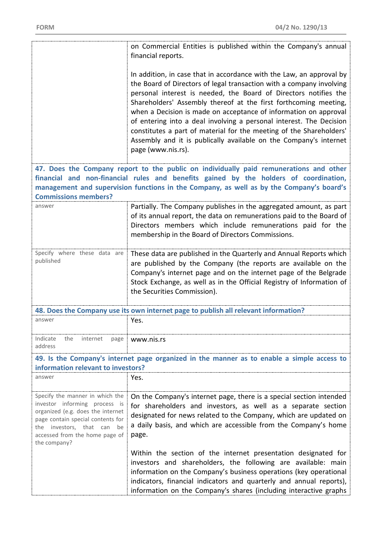|                                                                                                                                                                                                                                                                                                            | on Commercial Entities is published within the Company's annual<br>financial reports.                                                                                                                                                                                                                                                                                                                                                                                                                                                                                                             |  |
|------------------------------------------------------------------------------------------------------------------------------------------------------------------------------------------------------------------------------------------------------------------------------------------------------------|---------------------------------------------------------------------------------------------------------------------------------------------------------------------------------------------------------------------------------------------------------------------------------------------------------------------------------------------------------------------------------------------------------------------------------------------------------------------------------------------------------------------------------------------------------------------------------------------------|--|
|                                                                                                                                                                                                                                                                                                            | In addition, in case that in accordance with the Law, an approval by<br>the Board of Directors of legal transaction with a company involving<br>personal interest is needed, the Board of Directors notifies the<br>Shareholders' Assembly thereof at the first forthcoming meeting,<br>when a Decision is made on acceptance of information on approval<br>of entering into a deal involving a personal interest. The Decision<br>constitutes a part of material for the meeting of the Shareholders'<br>Assembly and it is publically available on the Company's internet<br>page (www.nis.rs). |  |
| 47. Does the Company report to the public on individually paid remunerations and other<br>financial and non-financial rules and benefits gained by the holders of coordination,<br>management and supervision functions in the Company, as well as by the Company's board's<br><b>Commissions members?</b> |                                                                                                                                                                                                                                                                                                                                                                                                                                                                                                                                                                                                   |  |
| answer                                                                                                                                                                                                                                                                                                     | Partially. The Company publishes in the aggregated amount, as part<br>of its annual report, the data on remunerations paid to the Board of<br>Directors members which include remunerations paid for the<br>membership in the Board of Directors Commissions.                                                                                                                                                                                                                                                                                                                                     |  |
| Specify where these data are<br>published                                                                                                                                                                                                                                                                  | These data are published in the Quarterly and Annual Reports which<br>are published by the Company (the reports are available on the<br>Company's internet page and on the internet page of the Belgrade<br>Stock Exchange, as well as in the Official Registry of Information of<br>the Securities Commission).                                                                                                                                                                                                                                                                                  |  |
|                                                                                                                                                                                                                                                                                                            | 48. Does the Company use its own internet page to publish all relevant information?                                                                                                                                                                                                                                                                                                                                                                                                                                                                                                               |  |
| answer                                                                                                                                                                                                                                                                                                     | Yes.                                                                                                                                                                                                                                                                                                                                                                                                                                                                                                                                                                                              |  |
| Indicate<br>the<br>internet<br>page<br>address                                                                                                                                                                                                                                                             | www.nis.rs                                                                                                                                                                                                                                                                                                                                                                                                                                                                                                                                                                                        |  |
| 49. Is the Company's internet page organized in the manner as to enable a simple access to<br>information relevant to investors?                                                                                                                                                                           |                                                                                                                                                                                                                                                                                                                                                                                                                                                                                                                                                                                                   |  |
| answer                                                                                                                                                                                                                                                                                                     | Yes.                                                                                                                                                                                                                                                                                                                                                                                                                                                                                                                                                                                              |  |
| Specify the manner in which the<br>investor informing process is<br>organized (e.g. does the internet<br>page contain special contents for<br>investors, that can<br>the<br>be<br>accessed from the home page of<br>the company?                                                                           | On the Company's internet page, there is a special section intended<br>for shareholders and investors, as well as a separate section<br>designated for news related to the Company, which are updated on<br>a daily basis, and which are accessible from the Company's home<br>page.                                                                                                                                                                                                                                                                                                              |  |
|                                                                                                                                                                                                                                                                                                            | Within the section of the internet presentation designated for<br>investors and shareholders, the following are available: main<br>information on the Company's business operations (key operational<br>indicators, financial indicators and quarterly and annual reports),<br>information on the Company's shares (including interactive graphs                                                                                                                                                                                                                                                  |  |